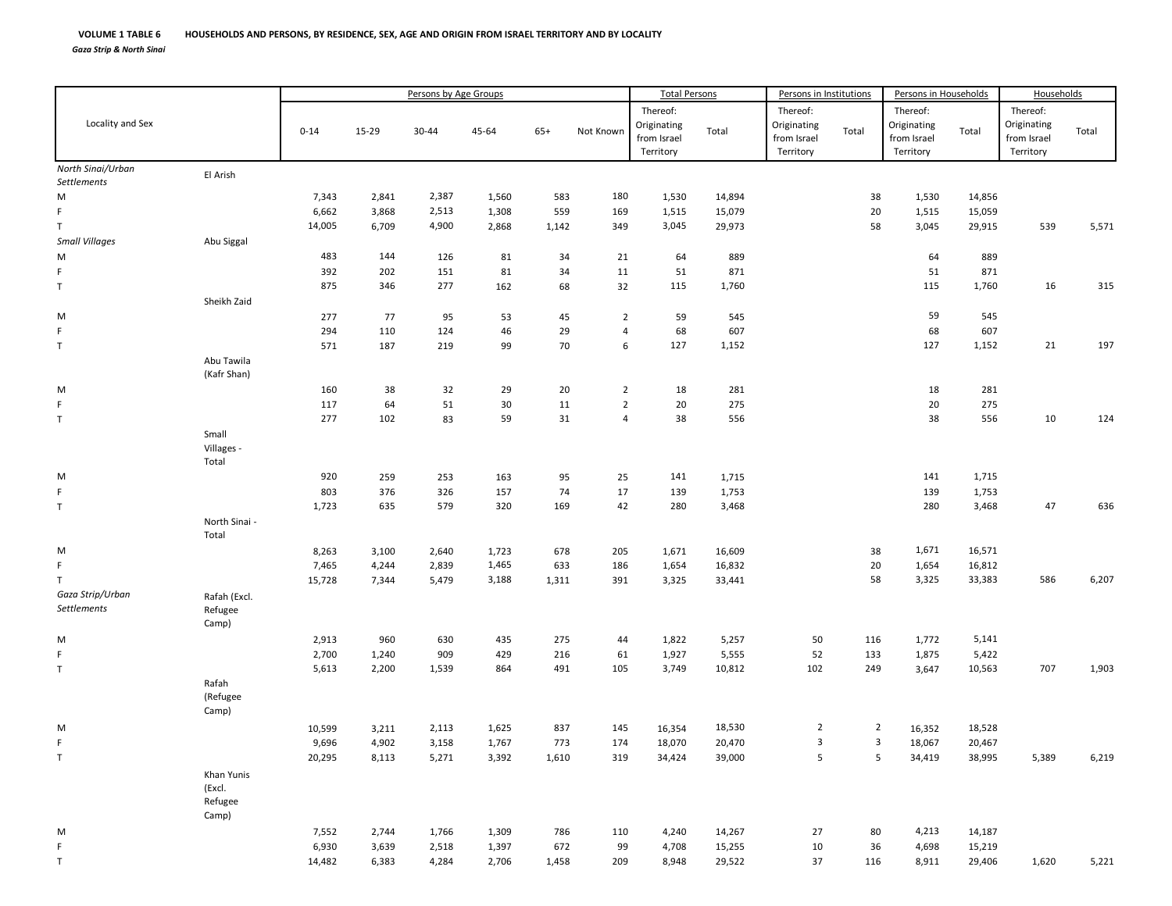M

F

T

Locality and Sex Persons by Age Groups Total Persons **Persons in Institutions** 0‐14 15‐29 30‐44 45‐64 65+ Not Known Thereof : Originat ing from Isra el Territo ry Total Originatin g from Isra elTerritory *North Sinai/Urban Settlements* El Arish 7,343 2,841 2,387 1,560 583 180 1,530 14,894 38 1,530 14,856 6,662 3,868 2,513 1,308 559 169 1,515 15,079 20 1,515 15,059 Sheikhh Zaid Abuu Tawila (Kafr Shan) 64SmallVillages ‐ Total

| T                               |                                          | 14,005 | 6,709 | 4,900 | 2,868 | 1,142 | 349            | 3,045  | 29,973 |                | 58                      | 3,045  | 29,915 | 539   | 5,571 |
|---------------------------------|------------------------------------------|--------|-------|-------|-------|-------|----------------|--------|--------|----------------|-------------------------|--------|--------|-------|-------|
| <b>Small Villages</b>           | Abu Siggal                               |        |       |       |       |       |                |        |        |                |                         |        |        |       |       |
| M                               |                                          | 483    | 144   | 126   | 81    | 34    | 21             | 64     | 889    |                |                         | 64     | 889    |       |       |
| F.                              |                                          | 392    | 202   | 151   | 81    | 34    | 11             | 51     | 871    |                |                         | 51     | 871    |       |       |
| $\mathsf T$                     |                                          | 875    | 346   | 277   | 162   | 68    | 32             | 115    | 1,760  |                |                         | 115    | 1,760  | 16    | 315   |
|                                 | Sheikh Zaid                              |        |       |       |       |       |                |        |        |                |                         |        |        |       |       |
| M                               |                                          | 277    | 77    | 95    | 53    | 45    | $\overline{2}$ | 59     | 545    |                |                         | 59     | 545    |       |       |
| F.                              |                                          | 294    | 110   | 124   | 46    | 29    | $\overline{4}$ | 68     | 607    |                |                         | 68     | 607    |       |       |
| $\mathsf T$                     |                                          | 571    | 187   | 219   | 99    | 70    | 6              | 127    | 1,152  |                |                         | 127    | 1,152  | 21    | 197   |
|                                 | Abu Tawila<br>(Kafr Shan)                |        |       |       |       |       |                |        |        |                |                         |        |        |       |       |
| M                               |                                          | 160    | 38    | 32    | 29    | 20    | $\overline{2}$ | 18     | 281    |                |                         | 18     | 281    |       |       |
| F.                              |                                          | 117    | 64    | 51    | 30    | 11    | $\overline{2}$ | 20     | 275    |                |                         | 20     | 275    |       |       |
| $\mathsf T$                     |                                          | 277    | 102   | 83    | 59    | 31    | $\overline{4}$ | 38     | 556    |                |                         | 38     | 556    | 10    | 124   |
|                                 | Small<br>Villages -<br>Total             |        |       |       |       |       |                |        |        |                |                         |        |        |       |       |
| M                               |                                          | 920    | 259   | 253   | 163   | 95    | 25             | 141    | 1,715  |                |                         | 141    | 1,715  |       |       |
| F.                              |                                          | 803    | 376   | 326   | 157   | 74    | 17             | 139    | 1,753  |                |                         | 139    | 1,753  |       |       |
| $\mathsf T$                     |                                          | 1,723  | 635   | 579   | 320   | 169   | 42             | 280    | 3,468  |                |                         | 280    | 3,468  | 47    | 636   |
|                                 | North Sinai -<br>Total                   |        |       |       |       |       |                |        |        |                |                         |        |        |       |       |
| M                               |                                          | 8,263  | 3,100 | 2,640 | 1,723 | 678   | 205            | 1,671  | 16,609 |                | 38                      | 1,671  | 16,571 |       |       |
| F.                              |                                          | 7,465  | 4,244 | 2,839 | 1,465 | 633   | 186            | 1,654  | 16,832 |                | 20                      | 1,654  | 16,812 |       |       |
| T.                              |                                          | 15,728 | 7,344 | 5,479 | 3,188 | 1,311 | 391            | 3,325  | 33,441 |                | 58                      | 3,325  | 33,383 | 586   | 6,207 |
| Gaza Strip/Urban<br>Settlements | Rafah (Excl.<br>Refugee<br>Camp)         |        |       |       |       |       |                |        |        |                |                         |        |        |       |       |
| M                               |                                          | 2,913  | 960   | 630   | 435   | 275   | 44             | 1,822  | 5,257  | 50             | 116                     | 1,772  | 5,141  |       |       |
| F.                              |                                          | 2,700  | 1,240 | 909   | 429   | 216   | 61             | 1,927  | 5,555  | 52             | 133                     | 1,875  | 5,422  |       |       |
| $\mathsf T$                     |                                          | 5,613  | 2,200 | 1,539 | 864   | 491   | 105            | 3,749  | 10,812 | 102            | 249                     | 3,647  | 10,563 | 707   | 1,903 |
|                                 | Rafah<br>(Refugee<br>Camp)               |        |       |       |       |       |                |        |        |                |                         |        |        |       |       |
| M                               |                                          | 10,599 | 3,211 | 2,113 | 1,625 | 837   | 145            | 16,354 | 18,530 | $\overline{2}$ | $\overline{2}$          | 16,352 | 18,528 |       |       |
| F.                              |                                          | 9,696  | 4,902 | 3,158 | 1,767 | 773   | 174            | 18,070 | 20,470 | 3              | $\overline{\mathbf{3}}$ | 18,067 | 20,467 |       |       |
| $\mathsf T$                     |                                          | 20,295 | 8,113 | 5,271 | 3,392 | 1,610 | 319            | 34,424 | 39,000 | 5              | 5                       | 34,419 | 38,995 | 5,389 | 6,219 |
|                                 | Khan Yunis<br>(Excl.<br>Refugee<br>Camp) |        |       |       |       |       |                |        |        |                |                         |        |        |       |       |
| M                               |                                          | 7,552  | 2,744 | 1,766 | 1,309 | 786   | 110            | 4,240  | 14,267 | 27             | 80                      | 4,213  | 14,187 |       |       |
| F.                              |                                          | 6,930  | 3,639 | 2,518 | 1,397 | 672   | 99             | 4,708  | 15,255 | 10             | 36                      | 4,698  | 15,219 |       |       |

14,482 6,383 4,284 2,706 1,458 209 8,948 29,522 37 116 8,911 29,406 1,620 5,221

rsons in Households Households

Thereof: Originating from Israel Territory

Total

Total

Thereof:

Total

Thereof: Originating from Israel Territory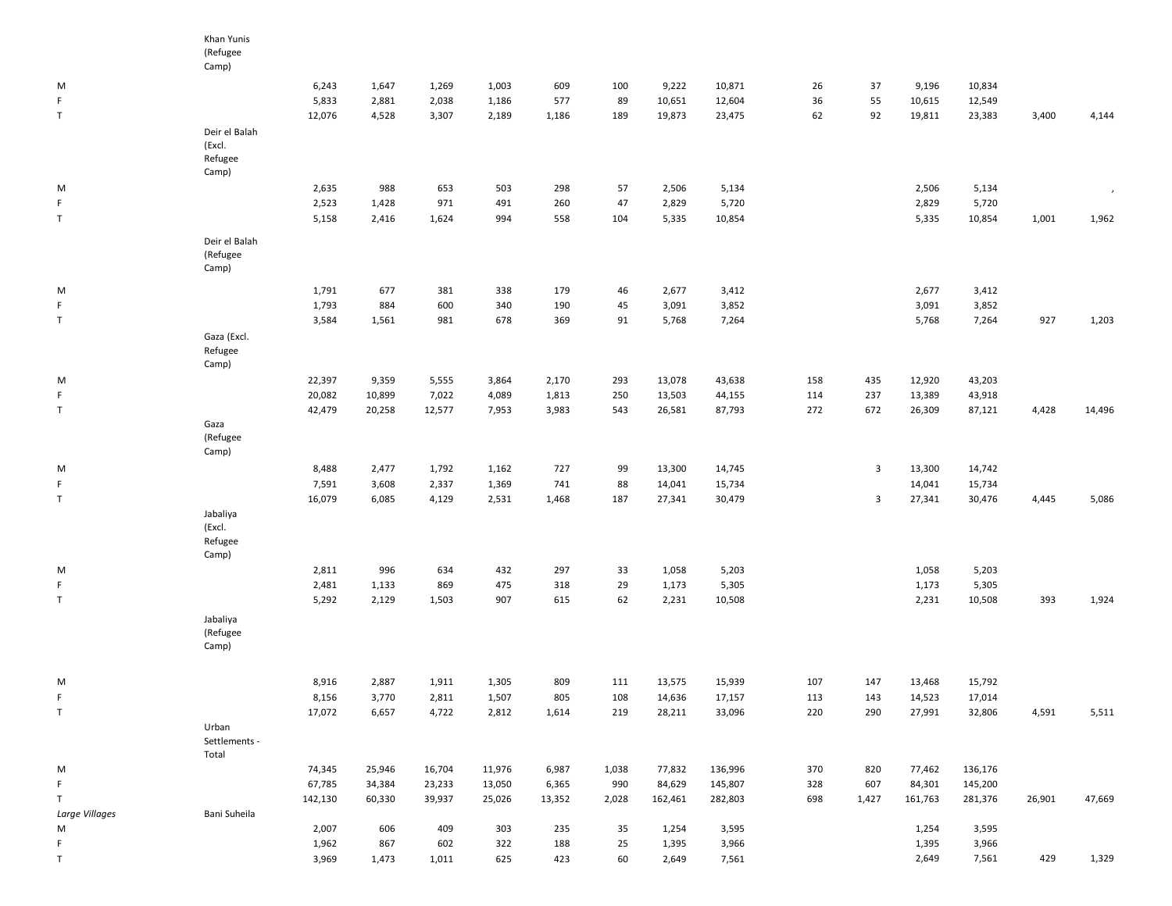|                | Khan Yunis                         |                |              |            |            |            |          |                |                |     |       |                |                |        |                          |
|----------------|------------------------------------|----------------|--------------|------------|------------|------------|----------|----------------|----------------|-----|-------|----------------|----------------|--------|--------------------------|
|                | (Refugee                           |                |              |            |            |            |          |                |                |     |       |                |                |        |                          |
|                | Camp)                              |                |              |            |            |            |          |                |                |     |       |                |                |        |                          |
| M              |                                    | 6,243          | 1,647        | 1,269      | 1,003      | 609        | 100      | 9,222          | 10,871         | 26  | 37    | 9,196          | 10,834         |        |                          |
| F.             |                                    | 5,833          | 2,881        | 2,038      | 1,186      | 577        | 89       | 10,651         | 12,604         | 36  | 55    | 10,615         | 12,549         |        |                          |
| T              |                                    | 12,076         | 4,528        | 3,307      | 2,189      | 1,186      | 189      | 19,873         | 23,475         | 62  | 92    | 19,811         | 23,383         | 3,400  | 4,144                    |
|                | Deir el Balah                      |                |              |            |            |            |          |                |                |     |       |                |                |        |                          |
|                | (Excl.                             |                |              |            |            |            |          |                |                |     |       |                |                |        |                          |
|                | Refugee                            |                |              |            |            |            |          |                |                |     |       |                |                |        |                          |
|                | Camp)                              |                |              |            |            |            |          |                |                |     |       |                |                |        |                          |
| M              |                                    | 2,635          | 988          | 653        | 503        | 298        | 57       | 2,506          | 5,134          |     |       | 2,506          | 5,134          |        | $\overline{\phantom{a}}$ |
| F.             |                                    | 2,523          | 1,428        | 971        | 491        | 260        | 47       | 2,829          | 5,720          |     |       | 2,829          | 5,720          |        |                          |
| $\mathsf T$    |                                    | 5,158          | 2,416        | 1,624      | 994        | 558        | 104      | 5,335          | 10,854         |     |       | 5,335          | 10,854         | 1,001  | 1,962                    |
|                | Deir el Balah<br>(Refugee<br>Camp) |                |              |            |            |            |          |                |                |     |       |                |                |        |                          |
|                |                                    |                |              |            |            |            |          |                |                |     |       |                |                |        |                          |
| M              |                                    | 1,791          | 677          | 381        | 338        | 179        | 46       | 2,677          | 3,412          |     |       | 2,677          | 3,412          |        |                          |
| F.             |                                    | 1,793          | 884          | 600        | 340        | 190        | 45       | 3,091          | 3,852          |     |       | 3,091          | 3,852          |        |                          |
| T              |                                    | 3,584          | 1,561        | 981        | 678        | 369        | 91       | 5,768          | 7,264          |     |       | 5,768          | 7,264          | 927    | 1,203                    |
|                | Gaza (Excl.<br>Refugee<br>Camp)    |                |              |            |            |            |          |                |                |     |       |                |                |        |                          |
| M              |                                    | 22,397         | 9,359        | 5,555      | 3,864      | 2,170      | 293      | 13,078         | 43,638         | 158 | 435   | 12,920         | 43,203         |        |                          |
| F              |                                    | 20,082         | 10,899       | 7,022      | 4,089      | 1,813      | 250      | 13,503         | 44,155         | 114 | 237   | 13,389         | 43,918         |        |                          |
| $\mathsf{T}$   |                                    | 42,479         | 20,258       | 12,577     | 7,953      | 3,983      | 543      | 26,581         | 87,793         | 272 | 672   | 26,309         | 87,121         | 4,428  | 14,496                   |
|                | Gaza<br>(Refugee<br>Camp)          |                |              |            |            |            |          |                |                |     |       |                |                |        |                          |
| M              |                                    | 8,488          | 2,477        | 1,792      | 1,162      | 727        | 99       | 13,300         | 14,745         |     | 3     | 13,300         | 14,742         |        |                          |
| F.             |                                    | 7,591          | 3,608        | 2,337      | 1,369      | 741        | 88       | 14,041         | 15,734         |     |       | 14,041         | 15,734         |        |                          |
| T              |                                    | 16,079         | 6,085        | 4,129      | 2,531      | 1,468      | 187      | 27,341         | 30,479         |     | 3     | 27,341         | 30,476         | 4,445  | 5,086                    |
|                | Jabaliya<br>(Excl.<br>Refugee      |                |              |            |            |            |          |                |                |     |       |                |                |        |                          |
|                | Camp)                              |                |              |            |            |            |          |                |                |     |       |                |                |        |                          |
| M<br>F.        |                                    | 2,811<br>2,481 | 996<br>1,133 | 634<br>869 | 432<br>475 | 297<br>318 | 33<br>29 | 1,058<br>1,173 | 5,203<br>5,305 |     |       | 1,058<br>1,173 | 5,203<br>5,305 |        |                          |
| $\top$         |                                    | 5,292          | 2,129        | 1,503      | 907        | 615        | 62       | 2,231          | 10,508         |     |       | 2,231          | 10,508         | 393    | 1,924                    |
|                | Jabaliya<br>(Refugee<br>Camp)      |                |              |            |            |            |          |                |                |     |       |                |                |        |                          |
| M              |                                    | 8,916          | 2,887        | 1,911      | 1,305      | 809        | 111      | 13,575         | 15,939         | 107 | 147   | 13,468         | 15,792         |        |                          |
|                |                                    | 8,156          | 3,770        | 2,811      | 1,507      | 805        | $108\,$  | 14,636         | 17,157         | 113 | 143   | 14,523         | 17,014         |        |                          |
| $\mathsf T$    |                                    | 17,072         | 6,657        | 4,722      | 2,812      | 1,614      | 219      | 28,211         | 33,096         | 220 | 290   | 27,991         | 32,806         | 4,591  | 5,511                    |
|                | Urban<br>Settlements -<br>Total    |                |              |            |            |            |          |                |                |     |       |                |                |        |                          |
| M              |                                    | 74,345         | 25,946       | 16,704     | 11,976     | 6,987      | 1,038    | 77,832         | 136,996        | 370 | 820   | 77,462         | 136,176        |        |                          |
| F              |                                    | 67,785         | 34,384       | 23,233     | 13,050     | 6,365      | 990      | 84,629         | 145,807        | 328 | 607   | 84,301         | 145,200        |        |                          |
| T              |                                    | 142,130        | 60,330       | 39,937     | 25,026     | 13,352     | 2,028    | 162,461        | 282,803        | 698 | 1,427 | 161,763        | 281,376        | 26,901 | 47,669                   |
| Large Villages | Bani Suheila                       |                |              |            |            |            |          |                |                |     |       |                |                |        |                          |
| М              |                                    | 2,007          | 606          | 409        | 303        | 235        | 35       | 1,254          | 3,595          |     |       | 1,254          | 3,595          |        |                          |
| F.             |                                    | 1,962          | 867          | 602        | 322        | 188        | 25       | 1,395          | 3,966          |     |       | 1,395          | 3,966          |        |                          |
| T              |                                    | 3,969          | 1,473        | 1,011      | 625        | 423        | 60       | 2,649          | 7,561          |     |       | 2,649          | 7,561          | 429    | 1,329                    |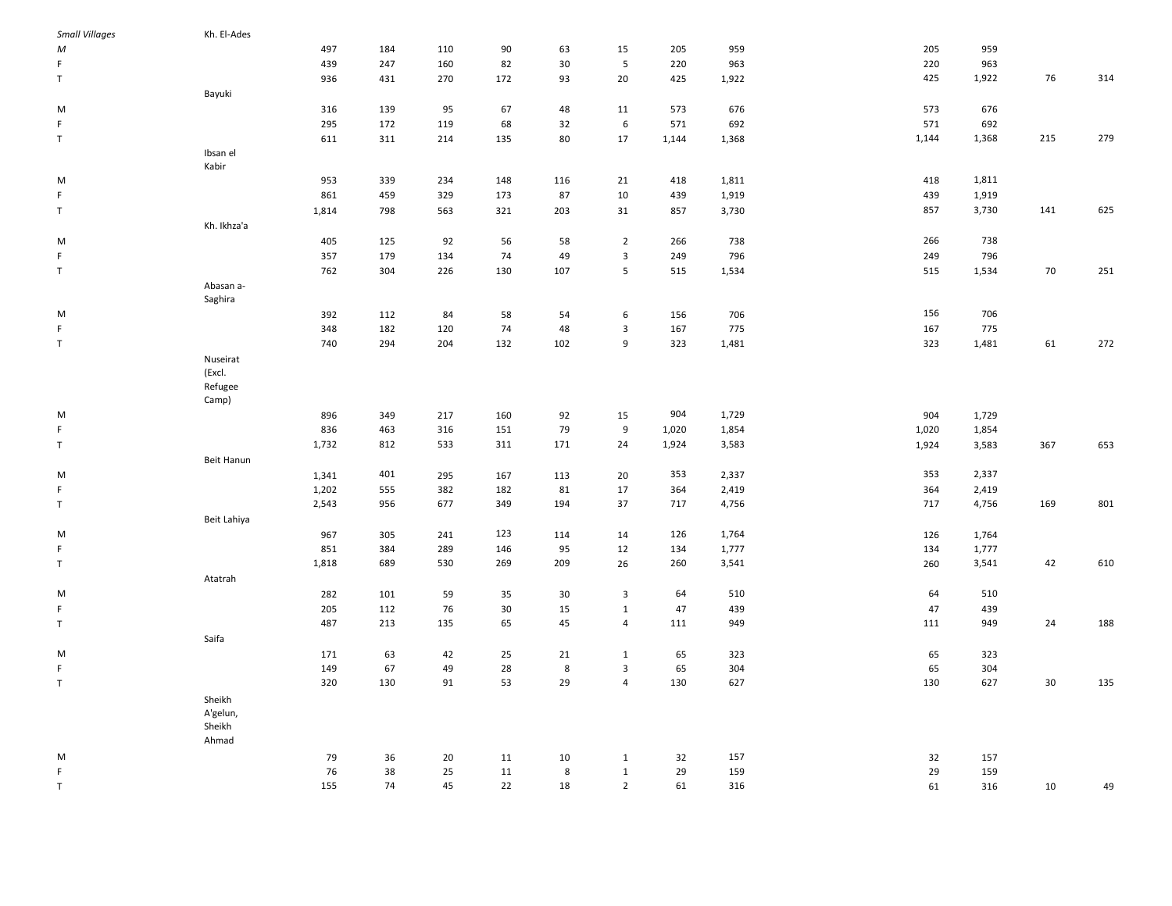| <b>Small Villages</b> | Kh. El-Ades |       |     |     |        |        |                         |       |       |       |           |     |     |
|-----------------------|-------------|-------|-----|-----|--------|--------|-------------------------|-------|-------|-------|-----------|-----|-----|
| М                     |             | 497   | 184 | 110 | 90     | 63     | 15                      | 205   | 959   | 205   | 959       |     |     |
| F                     |             | 439   | 247 | 160 | 82     | $30\,$ | ${\mathbf 5}$           | 220   | 963   | 220   | 963       |     |     |
| T                     |             | 936   | 431 | 270 | 172    | 93     | 20                      | 425   | 1,922 | 425   | 1,922     | 76  | 314 |
|                       | Bayuki      |       |     |     |        |        |                         |       |       |       |           |     |     |
| M                     |             | 316   | 139 | 95  | 67     | 48     | 11                      | 573   | 676   | 573   | 676       |     |     |
| F.                    |             | 295   | 172 | 119 | 68     | 32     | 6                       | 571   | 692   | 571   | 692       |     |     |
| T                     |             | 611   | 311 | 214 | 135    | 80     | 17                      | 1,144 | 1,368 | 1,144 | 1,368     | 215 | 279 |
|                       | Ibsan el    |       |     |     |        |        |                         |       |       |       |           |     |     |
|                       | Kabir       |       |     |     |        |        |                         |       |       |       |           |     |     |
| M                     |             | 953   | 339 | 234 | 148    | 116    | 21                      | 418   | 1,811 | 418   | 1,811     |     |     |
| F.                    |             | 861   | 459 | 329 | 173    | 87     | 10                      | 439   | 1,919 | 439   | 1,919     |     |     |
| T                     |             | 1,814 | 798 | 563 | 321    | 203    | 31                      | 857   | 3,730 | 857   | 3,730     | 141 | 625 |
|                       |             |       |     |     |        |        |                         |       |       |       |           |     |     |
|                       | Kh. Ikhza'a |       |     |     |        |        |                         |       |       |       |           |     |     |
| M                     |             | 405   | 125 | 92  | 56     | 58     | $\overline{2}$          | 266   | 738   | 266   | 738       |     |     |
| $\mathsf F$           |             | 357   | 179 | 134 | 74     | 49     | 3                       | 249   | 796   | 249   | 796       |     |     |
| $\top$                |             | 762   | 304 | 226 | 130    | 107    | $5\phantom{.0}$         | 515   | 1,534 | 515   | 1,534     | 70  | 251 |
|                       | Abasan a-   |       |     |     |        |        |                         |       |       |       |           |     |     |
|                       | Saghira     |       |     |     |        |        |                         |       |       |       |           |     |     |
| М                     |             | 392   | 112 | 84  | 58     | 54     | 6                       | 156   | 706   | 156   | 706       |     |     |
| F                     |             | 348   | 182 | 120 | 74     | 48     | 3                       | 167   | 775   | 167   | 775       |     |     |
| $\top$                |             | 740   | 294 | 204 | 132    | 102    | 9                       | 323   | 1,481 | 323   | 1,481     | 61  | 272 |
|                       | Nuseirat    |       |     |     |        |        |                         |       |       |       |           |     |     |
|                       | (Excl.      |       |     |     |        |        |                         |       |       |       |           |     |     |
|                       | Refugee     |       |     |     |        |        |                         |       |       |       |           |     |     |
|                       | Camp)       |       |     |     |        |        |                         |       |       |       |           |     |     |
| М                     |             | 896   | 349 | 217 | 160    | 92     | 15                      | 904   | 1,729 | 904   | 1,729     |     |     |
| F                     |             | 836   | 463 | 316 | 151    | 79     | 9                       | 1,020 | 1,854 | 1,020 | 1,854     |     |     |
| $\top$                |             | 1,732 | 812 | 533 | 311    | 171    | 24                      | 1,924 | 3,583 | 1,924 | 3,583     | 367 | 653 |
|                       | Beit Hanun  |       |     |     |        |        |                         |       |       |       |           |     |     |
| M                     |             | 1,341 | 401 | 295 | 167    | 113    | 20                      | 353   | 2,337 | 353   | 2,337     |     |     |
| F                     |             | 1,202 | 555 | 382 | 182    | 81     | 17                      | 364   | 2,419 | 364   | 2,419     |     |     |
| $\top$                |             | 2,543 | 956 | 677 | 349    | 194    | 37                      | 717   | 4,756 | 717   | 4,756     | 169 | 801 |
|                       | Beit Lahiya |       |     |     |        |        |                         |       |       |       |           |     |     |
| M                     |             | 967   | 305 | 241 | 123    | 114    | 14                      | 126   | 1,764 | 126   | 1,764     |     |     |
| F.                    |             | 851   | 384 | 289 | 146    | 95     | 12                      | 134   | 1,777 | 134   | 1,777     |     |     |
| $\top$                |             | 1,818 | 689 | 530 | 269    | 209    | 26                      | 260   | 3,541 | 260   | 3,541     | 42  | 610 |
|                       |             |       |     |     |        |        |                         |       |       |       |           |     |     |
|                       | Atatrah     |       |     |     |        |        |                         |       |       |       |           |     |     |
| M                     |             | 282   | 101 | 59  | 35     | 30     | $\overline{\mathbf{3}}$ | 64    | 510   |       | 64<br>510 |     |     |
| F.                    |             | 205   | 112 | 76  | 30     | 15     | $\mathbf{1}$            | 47    | 439   |       | 47<br>439 |     |     |
| $\top$                |             | 487   | 213 | 135 | 65     | 45     | $\overline{4}$          | 111   | 949   | 111   | 949       | 24  | 188 |
|                       | Saifa       |       |     |     |        |        |                         |       |       |       |           |     |     |
| M                     |             | 171   | 63  | 42  | 25     | 21     | $\mathbf{1}$            | 65    | 323   |       | 65<br>323 |     |     |
| F.                    |             | 149   | 67  | 49  | 28     | 8      | $\overline{3}$          | 65    | 304   |       | 65<br>304 |     |     |
| $\top$                |             | 320   | 130 | 91  | 53     | 29     | $\overline{4}$          | 130   | 627   | 130   | 627       | 30  | 135 |
|                       | Sheikh      |       |     |     |        |        |                         |       |       |       |           |     |     |
|                       | A'gelun,    |       |     |     |        |        |                         |       |       |       |           |     |     |
|                       | Sheikh      |       |     |     |        |        |                         |       |       |       |           |     |     |
|                       | Ahmad       |       |     |     |        |        |                         |       |       |       |           |     |     |
| M                     |             | 79    | 36  | 20  | 11     | 10     | $\mathbf{1}$            | 32    | 157   |       | 32<br>157 |     |     |
| F.                    |             | 76    | 38  | 25  | $11\,$ | 8      | $\mathbf{1}$            | 29    | 159   |       | 29<br>159 |     |     |
| T                     |             | 155   | 74  | 45  | 22     | 18     | $\overline{2}$          | 61    | 316   |       | 61<br>316 | 10  | 49  |
|                       |             |       |     |     |        |        |                         |       |       |       |           |     |     |